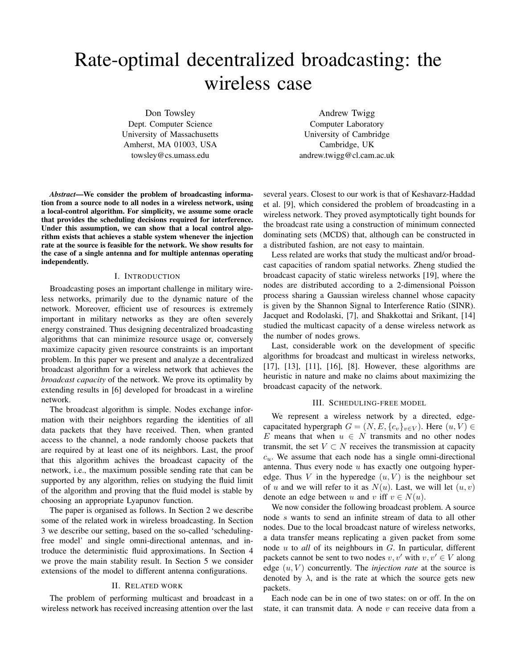# Rate-optimal decentralized broadcasting: the wireless case

Don Towsley Dept. Computer Science University of Massachusetts Amherst, MA 01003, USA towsley@cs.umass.edu

Andrew Twigg Computer Laboratory University of Cambridge Cambridge, UK andrew.twigg@cl.cam.ac.uk

*Abstract*—We consider the problem of broadcasting information from a source node to all nodes in a wireless network, using a local-control algorithm. For simplicity, we assume some oracle that provides the scheduling decisions required for interference. Under this assumption, we can show that a local control algorithm exists that achieves a stable system whenever the injection rate at the source is feasible for the network. We show results for the case of a single antenna and for multiple antennas operating independently.

## I. INTRODUCTION

Broadcasting poses an important challenge in military wireless networks, primarily due to the dynamic nature of the network. Moreover, efficient use of resources is extremely important in military networks as they are often severely energy constrained. Thus designing decentralized broadcasting algorithms that can minimize resource usage or, conversely maximize capacity given resource constraints is an important problem. In this paper we present and analyze a decentralized broadcast algorithm for a wireless network that achieves the *broadcast capacity* of the network. We prove its optimality by extending results in [6] developed for broadcast in a wireline network.

The broadcast algorithm is simple. Nodes exchange information with their neighbors regarding the identities of all data packets that they have received. Then, when granted access to the channel, a node randomly choose packets that are required by at least one of its neighbors. Last, the proof that this algorithm achives the broadcast capacity of the network, i.e., the maximum possible sending rate that can be supported by any algorithm, relies on studying the fluid limit of the algorithm and proving that the fluid model is stable by choosing an appropriate Lyapunov function.

The paper is organised as follows. In Section 2 we describe some of the related work in wireless broadcasting. In Section 3 we describe our setting, based on the so-called 'schedulingfree model' and single omni-directional antennas, and introduce the deterministic fluid approximations. In Section 4 we prove the main stability result. In Section 5 we consider extensions of the model to different antenna configurations.

#### II. RELATED WORK

The problem of performing multicast and broadcast in a wireless network has received increasing attention over the last several years. Closest to our work is that of Keshavarz-Haddad et al. [9], which considered the problem of broadcasting in a wireless network. They proved asymptotically tight bounds for the broadcast rate using a construction of minimum connected dominating sets (MCDS) that, although can be constructed in a distributed fashion, are not easy to maintain.

Less related are works that study the multicast and/or broadcast capacities of random spatial networks. Zheng studied the broadcast capacity of static wireless networks [19], where the nodes are distributed according to a 2-dimensional Poisson process sharing a Gaussian wireless channel whose capacity is given by the Shannon Signal to Interference Ratio (SINR). Jacquet and Rodolaski, [7], and Shakkottai and Srikant, [14] studied the multicast capacity of a dense wireless network as the number of nodes grows.

Last, considerable work on the development of specific algorithms for broadcast and multicast in wireless networks, [17], [13], [11], [16], [8]. However, these algorithms are heuristic in nature and make no claims about maximizing the broadcast capacity of the network.

## III. SCHEDULING-FREE MODEL

We represent a wireless network by a directed, edgecapacitated hypergraph  $G = (N, E, \{c_v\}_{v \in V})$ . Here  $(u, V) \in$ E means that when  $u \in N$  transmits and no other nodes transmit, the set  $V \subset N$  receives the transmission at capacity  $c_u$ . We assume that each node has a single omni-directional antenna. Thus every node  $u$  has exactly one outgoing hyperedge. Thus V in the hyperedge  $(u, V)$  is the neighbour set of u and we will refer to it as  $N(u)$ . Last, we will let  $(u, v)$ denote an edge between u and v iff  $v \in N(u)$ .

We now consider the following broadcast problem. A source node s wants to send an infinite stream of data to all other nodes. Due to the local broadcast nature of wireless networks, a data transfer means replicating a given packet from some node u to *all* of its neighbours in G. In particular, different packets cannot be sent to two nodes  $v, v'$  with  $v, v' \in V$  along edge  $(u, V)$  concurrently. The *injection rate* at the source is denoted by  $\lambda$ , and is the rate at which the source gets new packets.

Each node can be in one of two states: on or off. In the on state, it can transmit data. A node  $v$  can receive data from a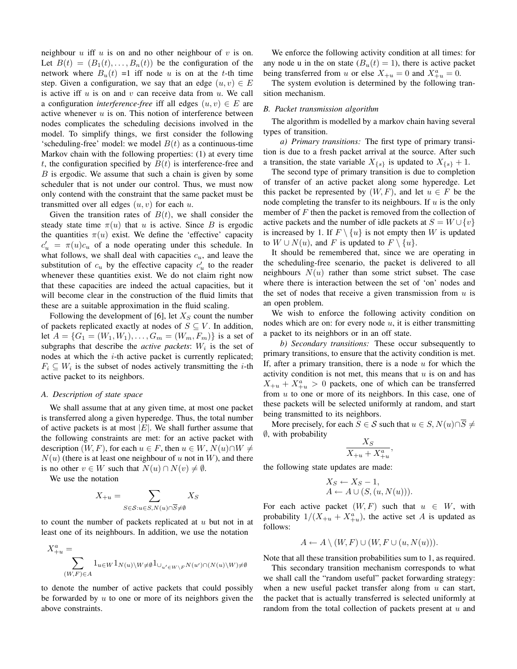neighbour  $u$  iff  $u$  is on and no other neighbour of  $v$  is on. Let  $B(t) = (B_1(t), \ldots, B_n(t))$  be the configuration of the network where  $B_u(t) = 1$  iff node u is on at the t-th time step. Given a configuration, we say that an edge  $(u, v) \in E$ is active iff  $u$  is on and  $v$  can receive data from  $u$ . We call a configuration *interference-free* iff all edges  $(u, v) \in E$  are active whenever  $u$  is on. This notion of interference between nodes complicates the scheduling decisions involved in the model. To simplify things, we first consider the following 'scheduling-free' model: we model  $B(t)$  as a continuous-time Markov chain with the following properties: (1) at every time t, the configuration specified by  $B(t)$  is interference-free and B is ergodic. We assume that such a chain is given by some scheduler that is not under our control. Thus, we must now only contend with the constraint that the same packet must be transmitted over all edges  $(u, v)$  for each u.

Given the transition rates of  $B(t)$ , we shall consider the steady state time  $\pi(u)$  that u is active. Since B is ergodic the quantities  $\pi(u)$  exist. We define the 'effective' capacity  $c'_u = \pi(u)c_u$  of a node operating under this schedule. In what follows, we shall deal with capacities  $c<sub>u</sub>$ , and leave the substitution of  $c_u$  by the effective capacity  $c'_u$  to the reader whenever these quantities exist. We do not claim right now that these capacities are indeed the actual capacities, but it will become clear in the construction of the fluid limits that these are a suitable approximation in the fluid scaling.

Following the development of [6], let  $X<sub>S</sub>$  count the number of packets replicated exactly at nodes of  $S \subseteq V$ . In addition, let  $A = \{G_1 = (W_1, W_1), \ldots, G_m = (W_m, F_m)\}\$ is a set of subgraphs that describe the *active packets*:  $W_i$  is the set of nodes at which the  $i$ -th active packet is currently replicated;  $F_i \subseteq W_i$  is the subset of nodes actively transmitting the *i*-th active packet to its neighbors.

## *A. Description of state space*

We shall assume that at any given time, at most one packet is transferred along a given hyperedge. Thus, the total number of active packets is at most  $|E|$ . We shall further assume that the following constraints are met: for an active packet with description  $(W, F)$ , for each  $u \in F$ , then  $u \in W$ ,  $N(u) \cap W \neq$  $N(u)$  (there is at least one neighbour of u not in W), and there is no other  $v \in W$  such that  $N(u) \cap N(v) \neq \emptyset$ .

We use the notation

$$
X_{+u} = \sum_{S \in \mathcal{S}: u \in S, N(u) \cap \overline{S} \neq \emptyset} X_S
$$

to count the number of packets replicated at  $u$  but not in at least one of its neighbours. In addition, we use the notation

$$
\begin{aligned} X^a_{+u}=&\\ \sum\limits_{(W,F)\in A}1_{u\in W}1_{N(u)\backslash W\neq \emptyset}1_{\cup_{u'\in W\backslash F}N(u')\cap (N(u)\backslash W)\neq \emptyset}\end{aligned}
$$

to denote the number of active packets that could possibly be forwarded by  $u$  to one or more of its neighbors given the above constraints.

We enforce the following activity condition at all times: for any node u in the on state  $(B_u(t) = 1)$ , there is active packet being transferred from u or else  $X_{+u} = 0$  and  $X_{+u}^a = 0$ .

The system evolution is determined by the following transition mechanism.

## *B. Packet transmission algorithm*

The algorithm is modelled by a markov chain having several types of transition.

*a) Primary transitions:* The first type of primary transition is due to a fresh packet arrival at the source. After such a transition, the state variable  $X_{\{s\}}$  is updated to  $X_{\{s\}} + 1$ .

The second type of primary transition is due to completion of transfer of an active packet along some hyperedge. Let this packet be represented by  $(W, F)$ , and let  $u \in F$  be the node completing the transfer to its neighbours. If  $u$  is the only member of  $F$  then the packet is removed from the collection of active packets and the number of idle packets at  $S = W \cup \{v\}$ is increased by 1. If  $F \setminus \{u\}$  is not empty then W is updated to  $W \cup N(u)$ , and F is updated to  $F \setminus \{u\}$ .

It should be remembered that, since we are operating in the scheduling-free scenario, the packet is delivered to all neighbours  $N(u)$  rather than some strict subset. The case where there is interaction between the set of 'on' nodes and the set of nodes that receive a given transmission from  $u$  is an open problem.

We wish to enforce the following activity condition on nodes which are on: for every node  $u$ , it is either transmitting a packet to its neighbors or in an off state.

*b) Secondary transitions:* These occur subsequently to primary transitions, to ensure that the activity condition is met. If, after a primary transition, there is a node  $u$  for which the activity condition is not met, this means that  $u$  is on and has  $X_{+u} + X_{+u}^{a} > 0$  packets, one of which can be transferred from  $u$  to one or more of its neighbors. In this case, one of these packets will be selected uniformly at random, and start being transmitted to its neighbors.

More precisely, for each  $S \in \mathcal{S}$  such that  $u \in S$ ,  $N(u) \cap \overline{S} \neq \overline{S}$ ∅, with probability

$$
\frac{X_S}{X_{+u} + X_{+u}^a},
$$

the following state updates are made:

$$
X_S \leftarrow X_S - 1,
$$
  

$$
A \leftarrow A \cup (S, (u, N(u))).
$$

For each active packet  $(W, F)$  such that  $u \in W$ , with probability  $1/(X_{+u} + X_{+u}^a)$ , the active set A is updated as follows:

$$
A \leftarrow A \setminus (W, F) \cup (W, F \cup (u, N(u))).
$$

Note that all these transition probabilities sum to 1, as required.

This secondary transition mechanism corresponds to what we shall call the "random useful" packet forwarding strategy: when a new useful packet transfer along from  $u$  can start, the packet that is actually transferred is selected uniformly at random from the total collection of packets present at  $u$  and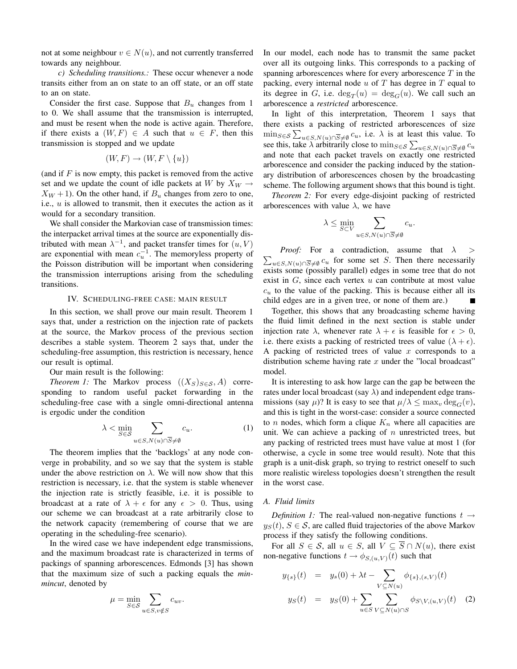not at some neighbour  $v \in N(u)$ , and not currently transferred towards any neighbour.

*c) Scheduling transitions.:* These occur whenever a node transits either from an on state to an off state, or an off state to an on state.

Consider the first case. Suppose that  $B_u$  changes from 1 to 0. We shall assume that the transmission is interrupted, and must be resent when the node is active again. Therefore, if there exists a  $(W, F) \in A$  such that  $u \in F$ , then this transmission is stopped and we update

$$
(W, F) \to (W, F \setminus \{u\})
$$

(and if  $F$  is now empty, this packet is removed from the active set and we update the count of idle packets at W by  $X_W \rightarrow$  $X_W + 1$ ). On the other hand, if  $B_u$  changes from zero to one, i.e.,  $u$  is allowed to transmit, then it executes the action as it would for a secondary transition.

We shall consider the Markovian case of transmission times: the interpacket arrival times at the source are exponentially distributed with mean  $\lambda^{-1}$ , and packet transfer times for  $(u, V)$ are exponential with mean  $c<sub>u</sub><sup>-1</sup>$ . The memoryless property of the Poisson distribution will be important when considering the transmission interruptions arising from the scheduling transitions.

## IV. SCHEDULING-FREE CASE: MAIN RESULT

In this section, we shall prove our main result. Theorem 1 says that, under a restriction on the injection rate of packets at the source, the Markov process of the previous section describes a stable system. Theorem 2 says that, under the scheduling-free assumption, this restriction is necessary, hence our result is optimal.

Our main result is the following:

*Theorem 1:* The Markov process  $((X_S)_{S \in S}, A)$  corresponding to random useful packet forwarding in the scheduling-free case with a single omni-directional antenna is ergodic under the condition

$$
\lambda < \min_{S \in \mathcal{S}} \sum_{u \in S, N(u) \cap \overline{S} \neq \emptyset} c_u. \tag{1}
$$

The theorem implies that the 'backlogs' at any node converge in probability, and so we say that the system is stable under the above restriction on  $\lambda$ . We will now show that this restriction is necessary, i.e. that the system is stable whenever the injection rate is strictly feasible, i.e. it is possible to broadcast at a rate of  $\lambda + \epsilon$  for any  $\epsilon > 0$ . Thus, using our scheme we can broadcast at a rate arbitrarily close to the network capacity (remembering of course that we are operating in the scheduling-free scenario).

In the wired case we have independent edge transmissions, and the maximum broadcast rate is characterized in terms of packings of spanning arborescences. Edmonds [3] has shown that the maximum size of such a packing equals the *minmincut*, denoted by

$$
\mu = \min_{S \in \mathcal{S}} \sum_{u \in S, v \notin S} c_{uv}.
$$

In our model, each node has to transmit the same packet over all its outgoing links. This corresponds to a packing of spanning arborescences where for every arborescence  $T$  in the packing, every internal node  $u$  of  $T$  has degree in  $T$  equal to its degree in G, i.e.  $deg_T(u) = deg_G(u)$ . We call such an arborescence a *restricted* arborescence.

In light of this interpretation, Theorem 1 says that there exists a packing of restricted arborescences of size  $\min_{S \in \mathcal{S}} \sum_{u \in S, N(u) \cap \overline{S} \neq \emptyset} c_u$ , i.e.  $\lambda$  is at least this value. To see this, take  $\lambda$  arbitrarily close to  $\min_{S \in \mathcal{S}} \sum_{u \in S, N(u) \cap \overline{S} \neq \emptyset} c_u$ and note that each packet travels on exactly one restricted arborescence and consider the packing induced by the stationary distribution of arborescences chosen by the broadcasting scheme. The following argument shows that this bound is tight.

*Theorem 2:* For every edge-disjoint packing of restricted arborescences with value  $\lambda$ , we have

$$
\lambda \le \min_{S \subset V} \sum_{u \in S, N(u) \cap \overline{S} \neq \emptyset} c_u.
$$

 $\sum_{u \in S, N(u) \cap \overline{S} \neq \emptyset} c_u$  for some set S. Then there necessarily *Proof:* For a contradiction, assume that  $\lambda$  > exists some (possibly parallel) edges in some tree that do not exist in  $G$ , since each vertex  $u$  can contribute at most value  $c<sub>u</sub>$  to the value of the packing. This is because either all its child edges are in a given tree, or none of them are.)

Together, this shows that any broadcasting scheme having the fluid limit defined in the next section is stable under injection rate  $\lambda$ , whenever rate  $\lambda + \epsilon$  is feasible for  $\epsilon > 0$ , i.e. there exists a packing of restricted trees of value  $(\lambda + \epsilon)$ . A packing of restricted trees of value  $x$  corresponds to a distribution scheme having rate  $x$  under the "local broadcast" model.

It is interesting to ask how large can the gap be between the rates under local broadcast (say  $\lambda$ ) and independent edge transmissions (say  $\mu$ )? It is easy to see that  $\mu/\lambda \leq \max_v \deg_G(v)$ , and this is tight in the worst-case: consider a source connected to *n* nodes, which form a clique  $K_n$  where all capacities are unit. We can achieve a packing of  $n$  unrestricted trees, but any packing of restricted trees must have value at most 1 (for otherwise, a cycle in some tree would result). Note that this graph is a unit-disk graph, so trying to restrict oneself to such more realistic wireless topologies doesn't strengthen the result in the worst case.

# *A. Fluid limits*

*Definition 1:* The real-valued non-negative functions  $t \rightarrow$  $y_S(t)$ ,  $S \in \mathcal{S}$ , are called fluid trajectories of the above Markov process if they satisfy the following conditions.

For all  $S \in \mathcal{S}$ , all  $u \in S$ , all  $V \subseteq \overline{S} \cap N(u)$ , there exist non-negative functions  $t \to \phi_{S,(u,V)}(t)$  such that

$$
y_{\{s\}}(t) = y_s(0) + \lambda t - \sum_{V \subseteq N(u)} \phi_{\{s\}, (s, V)}(t)
$$
  

$$
y_S(t) = y_S(0) + \sum_{u \in S} \sum_{V \subseteq N(u) \cap S} \phi_{S \setminus V, (u, V)}(t) \quad (2)
$$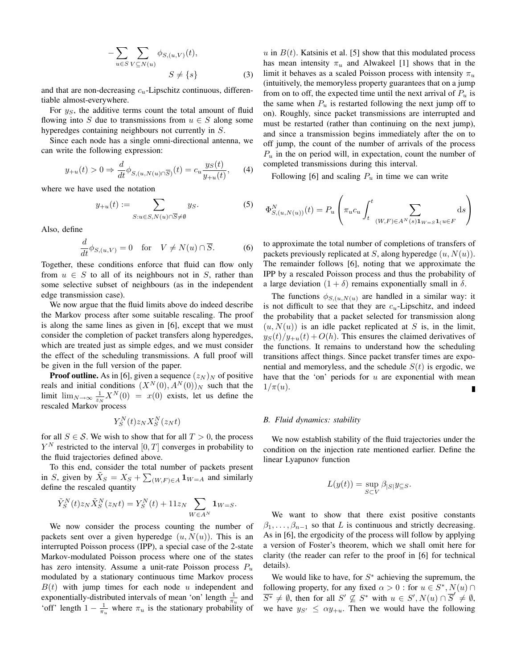$$
-\sum_{u \in S} \sum_{V \subseteq N(u)} \phi_{S,(u,V)}(t),
$$
  
 
$$
S \neq \{s\}
$$
 (3)

and that are non-decreasing  $c<sub>u</sub>$ -Lipschitz continuous, differentiable almost-everywhere.

For  $y_S$ , the additive terms count the total amount of fluid flowing into S due to transmissions from  $u \in S$  along some hyperedges containing neighbours not currently in S.

Since each node has a single omni-directional antenna, we can write the following expression:

$$
y_{+u}(t) > 0 \Rightarrow \frac{d}{dt} \phi_{S,(u,N(u)\cap\overline{S})}(t) = c_u \frac{y_S(t)}{y_{+u}(t)},\qquad(4)
$$

where we have used the notation

$$
y_{+u}(t) := \sum_{S: u \in S, N(u) \cap \overline{S} \neq \emptyset} y_S.
$$
 (5)

Also, define

$$
\frac{d}{dt}\phi_{S,(u,V)} = 0 \quad \text{for} \quad V \neq N(u) \cap \overline{S}.
$$
 (6)

Together, these conditions enforce that fluid can flow only from  $u \in S$  to all of its neighbours not in S, rather than some selective subset of neighbours (as in the independent edge transmission case).

We now argue that the fluid limits above do indeed describe the Markov process after some suitable rescaling. The proof is along the same lines as given in [6], except that we must consider the completion of packet transfers along hyperedges, which are treated just as simple edges, and we must consider the effect of the scheduling transmissions. A full proof will be given in the full version of the paper.

**Proof outline.** As in [6], given a sequence  $(z_N)_N$  of positive reals and initial conditions  $(X^N(0), A^N(0))_N$  such that the limit  $\lim_{N\to\infty} \frac{1}{z_N} X^N(0) = x(0)$  exists, let us define the rescaled Markov process

$$
Y_S^N(t)z_N X_S^N(z_N t)
$$

for all  $S \in \mathcal{S}$ . We wish to show that for all  $T > 0$ , the process  $Y^N$  restricted to the interval  $[0, T]$  converges in probability to the fluid trajectories defined above.

To this end, consider the total number of packets present in S, given by  $\tilde{X}_S = X_S + \sum_{(W,F) \in A} \mathbf{1}_{W=A}$  and similarly define the rescaled quantity

$$
\tilde Y_S^N(t)z_N\tilde X_S^N(z_Nt)=Y_S^N(t)+11z_N\sum_{W\in A^N}{\bf 1}_{W=S}.
$$

We now consider the process counting the number of packets sent over a given hyperedge  $(u, N(u))$ . This is an interrupted Poisson process (IPP), a special case of the 2-state Markov-modulated Poisson process where one of the states has zero intensity. Assume a unit-rate Poisson process  $P_u$ modulated by a stationary continuous time Markov process  $B(t)$  with jump times for each node u independent and exponentially-distributed intervals of mean 'on' length  $\frac{1}{\pi_u}$  and 'off' length  $1 - \frac{1}{\pi_u}$  where  $\pi_u$  is the stationary probability of u in  $B(t)$ . Katsinis et al. [5] show that this modulated process has mean intensity  $\pi_u$  and Alwakeel [1] shows that in the limit it behaves as a scaled Poisson process with intensity  $\pi_u$ (intuitively, the memoryless property guarantees that on a jump from on to off, the expected time until the next arrival of  $P_u$  is the same when  $P_u$  is restarted following the next jump off to on). Roughly, since packet transmissions are interrupted and must be restarted (rather than continuing on the next jump), and since a transmission begins immediately after the on to off jump, the count of the number of arrivals of the process  $P_u$  in the on period will, in expectation, count the number of completed transmissions during this interval.

Following [6] and scaling  $P_u$  in time we can write

$$
\Phi_{S,(u,N(u))}^N(t) = P_u \left( \pi_u c_u \int_t^t \sum_{(W,F) \in A^N(s) \mathbf{1}_{W=S} \mathbf{1}_{\{u \in F\}}} ds \right)
$$

to approximate the total number of completions of transfers of packets previously replicated at S, along hyperedge  $(u, N(u))$ . The remainder follows [6], noting that we approximate the IPP by a rescaled Poisson process and thus the probability of a large deviation  $(1 + \delta)$  remains exponentially small in  $\delta$ .

The functions  $\phi_{S,(u,N(u))}$  are handled in a similar way: it is not difficult to see that they are  $c<sub>u</sub>$ -Lipschitz, and indeed the probability that a packet selected for transmission along  $(u, N(u))$  is an idle packet replicated at S is, in the limit,  $y_S(t)/y_{+u}(t) + O(h)$ . This ensures the claimed derivatives of the functions. It remains to understand how the scheduling transitions affect things. Since packet transfer times are exponential and memoryless, and the schedule  $S(t)$  is ergodic, we have that the 'on' periods for  $u$  are exponential with mean  $1/\pi(u)$ .

## *B. Fluid dynamics: stability*

We now establish stability of the fluid trajectories under the condition on the injection rate mentioned earlier. Define the linear Lyapunov function

$$
L(y(t)) = \sup_{S \subset V} \beta_{|S|} y_{\subseteq S}.
$$

We want to show that there exist positive constants  $\beta_1, \ldots, \beta_{n-1}$  so that L is continuous and strictly decreasing. As in [6], the ergodicity of the process will follow by applying a version of Foster's theorem, which we shall omit here for clarity (the reader can refer to the proof in [6] for technical details).

We would like to have, for  $S^*$  achieving the supremum, the following property, for any fixed  $\alpha > 0$ : for  $u \in S^*$ ,  $N(u) \cap$  $\overline{S^*} \neq \emptyset$ , then for all  $S' \nsubseteq S^*$  with  $u \in S', N(u) \cap \overline{S}' \neq \emptyset$ , we have  $y_{S'} \leq \alpha y_{+u}$ . Then we would have the following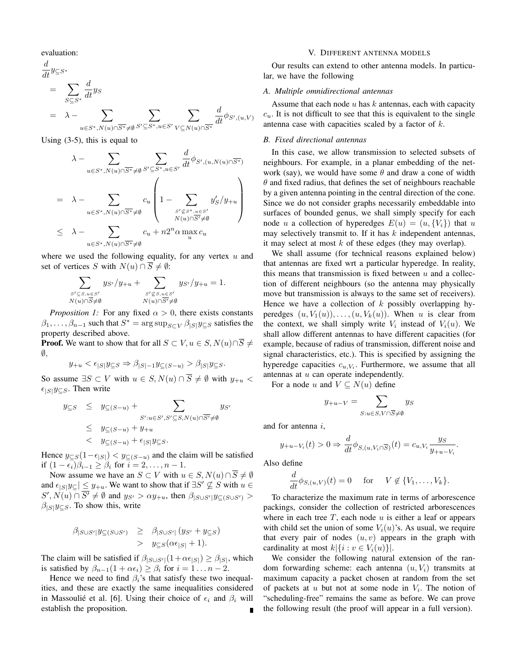evaluation:

$$
\frac{d}{dt} y_{\subseteq S^*}
$$
\n
$$
= \sum_{S \subseteq S^*} \frac{d}{dt} y_S
$$
\n
$$
= \lambda - \sum_{u \in S^*, N(u) \cap \overline{S^*} \neq \emptyset} \sum_{S' \subseteq S^*, u \in S'} \sum_{V \subseteq N(u) \cap \overline{S^*}} \frac{d}{dt} \phi_{S',(u,V)}
$$

Using (3-5), this is equal to

$$
\lambda - \sum_{u \in S^*, N(u) \cap \overline{S^*} \neq \emptyset} \sum_{S' \subseteq S^*, u \in S'} \frac{d}{dt} \phi_{S', (u, N(u) \cap \overline{S^*})}
$$
\n
$$
= \lambda - \sum_{u \in S^*, N(u) \cap \overline{S^*} \neq \emptyset} c_u \left( 1 - \sum_{\substack{S' \subseteq S^*, u \in S' \\ N(u) \cap \overline{S'} \neq \emptyset}} y'_S / y_{+u} \right)
$$
\n
$$
\leq \lambda - \sum_{u \in S^*, N(u) \cap \overline{S^*} \neq \emptyset} c_u + n2^n \alpha \max_u c_u
$$

where we used the following equality, for any vertex  $u$  and set of vertices S with  $N(u) \cap \overline{S} \neq \emptyset$ :

$$
\sum_{\substack{S' \subseteq S, u \in S' \\ N(u) \cap \overline{S} \neq \emptyset}} y_{S'}/y_{+u} + \sum_{\substack{S' \not\subseteq S, u \in S' \\ N(u) \cap \overline{S'} \neq \emptyset}} y_{S'}/y_{+u} = 1.
$$

*Proposition 1:* For any fixed  $\alpha > 0$ , there exists constants  $\beta_1, \ldots, \beta_{n-1}$  such that  $S^* = \arg \sup_{S \subset V} \beta_{|S|} y_{\subseteq S}$  satisfies the property described above.

**Proof.** We want to show that for all  $S \subset V, u \in S, N(u) \cap \overline{S} \neq \overline{S}$  $\emptyset$ ,

$$
y_{+u} < \epsilon_{|S|} y_{\subseteq S} \Rightarrow \beta_{|S|-1} y_{\subseteq (S-u)} > \beta_{|S|} y_{\subseteq S}.
$$

So assume  $\exists S \subset V$  with  $u \in S$ ,  $N(u) \cap \overline{S} \neq \emptyset$  with  $y_{+u}$  $\epsilon_{|S|}y_{\subseteq S}$ . Then write

$$
y_{\subseteq S} \leq y_{\subseteq (S-u)} + \sum_{S': u \in S', S' \subseteq S, N(u) \cap \overline{S'} \neq \emptyset} y_{S'} \leq y_{\subseteq (S-u)} + y_{+u} < y_{\subseteq (S-u)} + \epsilon_{|S|} y_{\subseteq S}.
$$

Hence  $y_{\subseteq S}(1-\epsilon_{|S|}) < y_{\subseteq (S-u)}$  and the claim will be satisfied if  $(1 - \epsilon_i)\beta_{i-1} \geq \beta_i$  for  $i = 2, \ldots, n - 1$ .

Now assume we have an  $S \subset V$  with  $u \in S$ ,  $N(u) \cap \overline{S} \neq \emptyset$ and  $\epsilon_{|S|}y_{\subseteq}| \leq y_{+u}$ . We want to show that if  $\exists S' \nsubseteq S$  with  $u \in$  $S', N(u) \cap \overline{S'} \neq \emptyset$  and  $y_{S'} > \alpha y_{+u}$ , then  $\beta_{|S \cup S'|} y_{\subseteq (S \cup S')}$  $\beta_{|S|}y_{\subseteq S}$ . To show this, write

$$
\beta_{|S\cup S'|} y_{\subseteq (S\cup S')} \geq \beta_{|S\cup S'|} (y_{S'} + y_{\subseteq S})
$$
  
> 
$$
y_{\subseteq S} (\alpha \epsilon_{|S|} + 1).
$$

The claim will be satisfied if  $\beta_{|S\cup S'|}(1+\alpha\epsilon_{|S|}) \geq \beta_{|S|}$ , which is satisfied by  $\beta_{n-1}(1 + \alpha \epsilon_i) \geq \beta_i$  for  $i = 1 \dots n - 2$ .

Hence we need to find  $\beta_i$ 's that satisfy these two inequalities, and these are exactly the same inequalities considered in Massoulié et al. [6]. Using their choice of  $\epsilon_i$  and  $\beta_i$  will establish the proposition.

## V. DIFFERENT ANTENNA MODELS

Our results can extend to other antenna models. In particular, we have the following

## *A. Multiple omnidirectional antennas*

Assume that each node  $u$  has  $k$  antennas, each with capacity  $c<sub>u</sub>$ . It is not difficult to see that this is equivalent to the single antenna case with capacities scaled by a factor of k.

## *B. Fixed directional antennas*

In this case, we allow transmission to selected subsets of neighbours. For example, in a planar embedding of the network (say), we would have some  $\theta$  and draw a cone of width  $\theta$  and fixed radius, that defines the set of neighbours reachable by a given antenna pointing in the central direction of the cone. Since we do not consider graphs necessarily embeddable into surfaces of bounded genus, we shall simply specify for each node u a collection of hyperedges  $E(u) = (u, \{V_i\})$  that u may selectively transmit to. If it has  $k$  independent antennas, it may select at most  $k$  of these edges (they may overlap).

We shall assume (for technical reasons explained below) that antennas are fixed wrt a particular hyperedge. In reality, this means that transmission is fixed between  $u$  and a collection of different neighbours (so the antenna may physically move but transmission is always to the same set of receivers). Hence we have a collection of  $k$  possibly overlapping hyperedges  $(u, V_1(u)), \ldots, (u, V_k(u))$ . When u is clear from the context, we shall simply write  $V_i$  instead of  $V_i(u)$ . We shall allow different antennas to have different capacities (for example, because of radius of transmission, different noise and signal characteristics, etc.). This is specified by assigning the hyperedge capacities  $c_{u, V_i}$ . Furthermore, we assume that all antennas at  $u$  can operate independently.

For a node u and  $V \subseteq N(u)$  define

$$
y_{+u-V} = \sum_{S:u \in S, V \cap \overline{S} \neq \emptyset} y_S
$$

and for antenna i,

$$
y_{+u-V_i}(t) > 0 \Rightarrow \frac{d}{dt} \phi_{S,(u,V_i \cap \overline{S})}(t) = c_{u,V_i} \frac{y_S}{y_{+u-V_i}}.
$$

Also define

$$
\frac{d}{dt}\phi_{S,(u,V)}(t) = 0 \quad \text{for} \quad V \notin \{V_1,\ldots,V_k\}.
$$

To characterize the maximum rate in terms of arborescence packings, consider the collection of restricted arborescences where in each tree  $T$ , each node  $u$  is either a leaf or appears with child set the union of some  $V_i(u)$ 's. As usual, we require that every pair of nodes  $(u, v)$  appears in the graph with cardinality at most  $k | \{i : v \in V_i(u)\}|$ .

We consider the following natural extension of the random forwarding scheme: each antenna  $(u, V_i)$  transmits at maximum capacity a packet chosen at random from the set of packets at  $u$  but not at some node in  $V_i$ . The notion of "scheduling-free" remains the same as before. We can prove the following result (the proof will appear in a full version).